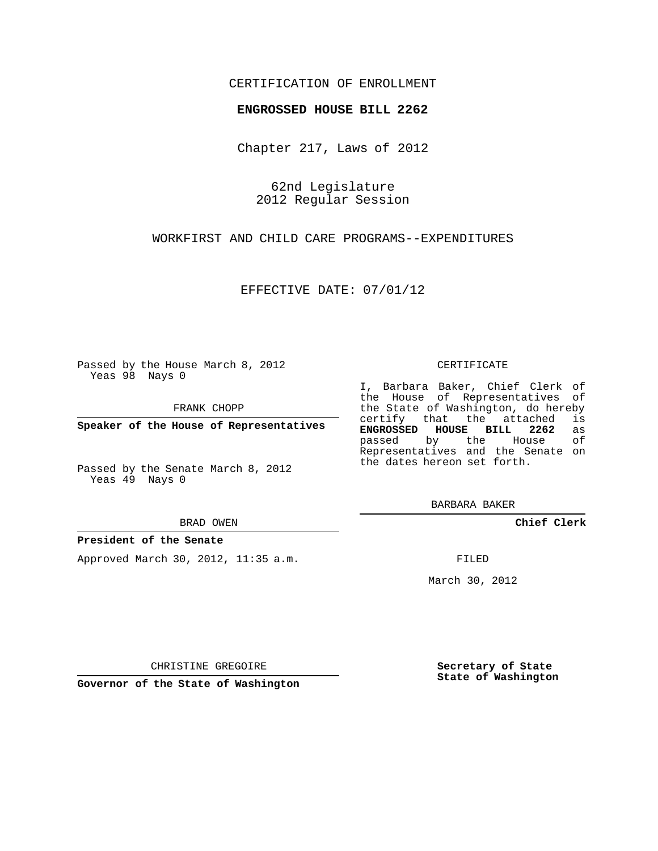## CERTIFICATION OF ENROLLMENT

## **ENGROSSED HOUSE BILL 2262**

Chapter 217, Laws of 2012

62nd Legislature 2012 Regular Session

WORKFIRST AND CHILD CARE PROGRAMS--EXPENDITURES

EFFECTIVE DATE: 07/01/12

Passed by the House March 8, 2012 Yeas 98 Nays 0

FRANK CHOPP

**Speaker of the House of Representatives**

Passed by the Senate March 8, 2012 Yeas 49 Nays 0

BRAD OWEN

### **President of the Senate**

Approved March 30, 2012, 11:35 a.m.

#### CERTIFICATE

I, Barbara Baker, Chief Clerk of the House of Representatives of the State of Washington, do hereby<br>certify that the attached is certify that the attached **ENGROSSED HOUSE BILL 2262** as passed by the House Representatives and the Senate on the dates hereon set forth.

BARBARA BAKER

**Chief Clerk**

FILED

March 30, 2012

**Secretary of State State of Washington**

CHRISTINE GREGOIRE

**Governor of the State of Washington**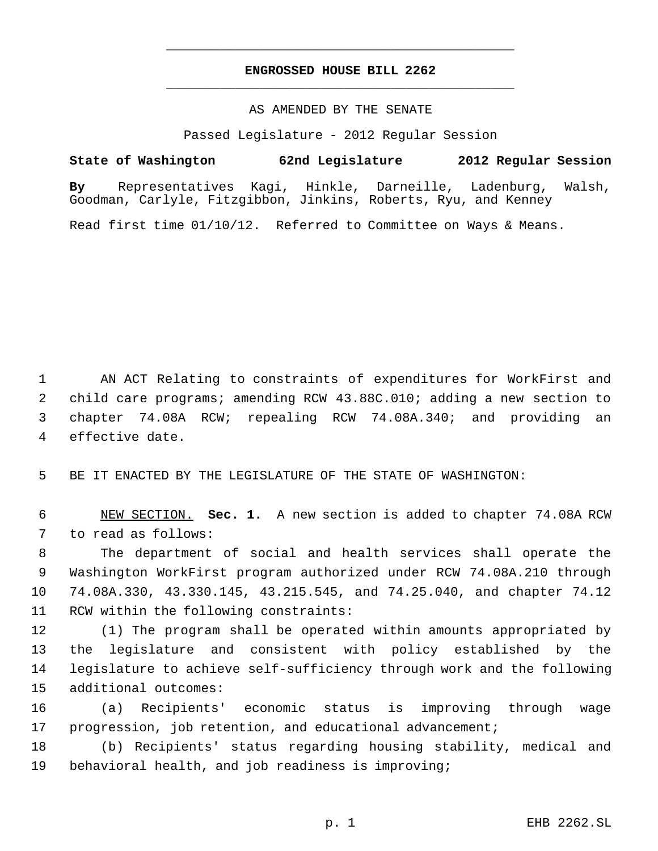# **ENGROSSED HOUSE BILL 2262** \_\_\_\_\_\_\_\_\_\_\_\_\_\_\_\_\_\_\_\_\_\_\_\_\_\_\_\_\_\_\_\_\_\_\_\_\_\_\_\_\_\_\_\_\_

\_\_\_\_\_\_\_\_\_\_\_\_\_\_\_\_\_\_\_\_\_\_\_\_\_\_\_\_\_\_\_\_\_\_\_\_\_\_\_\_\_\_\_\_\_

## AS AMENDED BY THE SENATE

Passed Legislature - 2012 Regular Session

## **State of Washington 62nd Legislature 2012 Regular Session**

**By** Representatives Kagi, Hinkle, Darneille, Ladenburg, Walsh, Goodman, Carlyle, Fitzgibbon, Jinkins, Roberts, Ryu, and Kenney

Read first time 01/10/12. Referred to Committee on Ways & Means.

 AN ACT Relating to constraints of expenditures for WorkFirst and child care programs; amending RCW 43.88C.010; adding a new section to chapter 74.08A RCW; repealing RCW 74.08A.340; and providing an effective date.

BE IT ENACTED BY THE LEGISLATURE OF THE STATE OF WASHINGTON:

 NEW SECTION. **Sec. 1.** A new section is added to chapter 74.08A RCW to read as follows:

 The department of social and health services shall operate the Washington WorkFirst program authorized under RCW 74.08A.210 through 74.08A.330, 43.330.145, 43.215.545, and 74.25.040, and chapter 74.12 RCW within the following constraints:

 (1) The program shall be operated within amounts appropriated by the legislature and consistent with policy established by the legislature to achieve self-sufficiency through work and the following additional outcomes:

 (a) Recipients' economic status is improving through wage progression, job retention, and educational advancement;

 (b) Recipients' status regarding housing stability, medical and behavioral health, and job readiness is improving;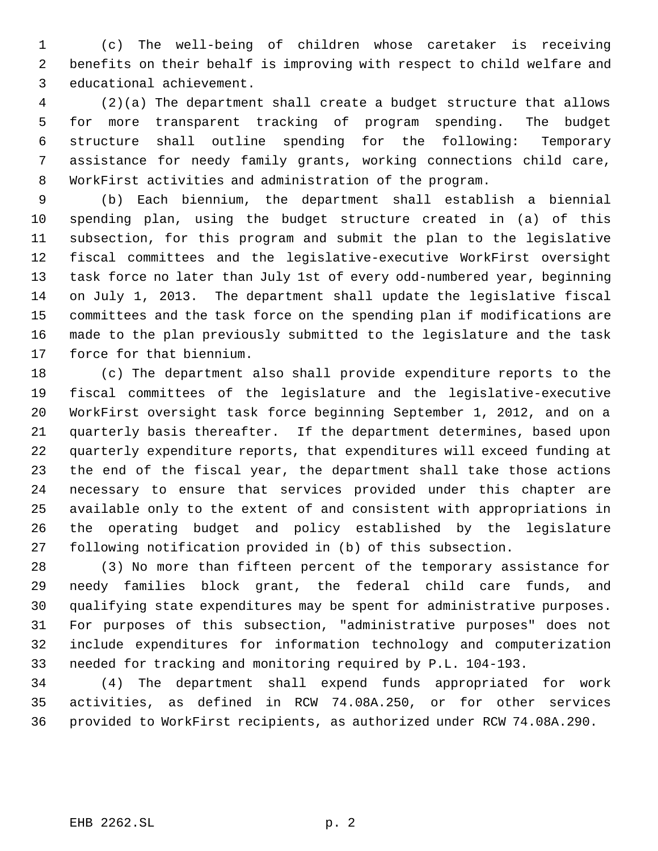(c) The well-being of children whose caretaker is receiving benefits on their behalf is improving with respect to child welfare and educational achievement.

 (2)(a) The department shall create a budget structure that allows for more transparent tracking of program spending. The budget structure shall outline spending for the following: Temporary assistance for needy family grants, working connections child care, WorkFirst activities and administration of the program.

 (b) Each biennium, the department shall establish a biennial spending plan, using the budget structure created in (a) of this subsection, for this program and submit the plan to the legislative fiscal committees and the legislative-executive WorkFirst oversight task force no later than July 1st of every odd-numbered year, beginning on July 1, 2013. The department shall update the legislative fiscal committees and the task force on the spending plan if modifications are made to the plan previously submitted to the legislature and the task force for that biennium.

 (c) The department also shall provide expenditure reports to the fiscal committees of the legislature and the legislative-executive WorkFirst oversight task force beginning September 1, 2012, and on a quarterly basis thereafter. If the department determines, based upon quarterly expenditure reports, that expenditures will exceed funding at the end of the fiscal year, the department shall take those actions necessary to ensure that services provided under this chapter are available only to the extent of and consistent with appropriations in the operating budget and policy established by the legislature following notification provided in (b) of this subsection.

 (3) No more than fifteen percent of the temporary assistance for needy families block grant, the federal child care funds, and qualifying state expenditures may be spent for administrative purposes. For purposes of this subsection, "administrative purposes" does not include expenditures for information technology and computerization needed for tracking and monitoring required by P.L. 104-193.

 (4) The department shall expend funds appropriated for work activities, as defined in RCW 74.08A.250, or for other services provided to WorkFirst recipients, as authorized under RCW 74.08A.290.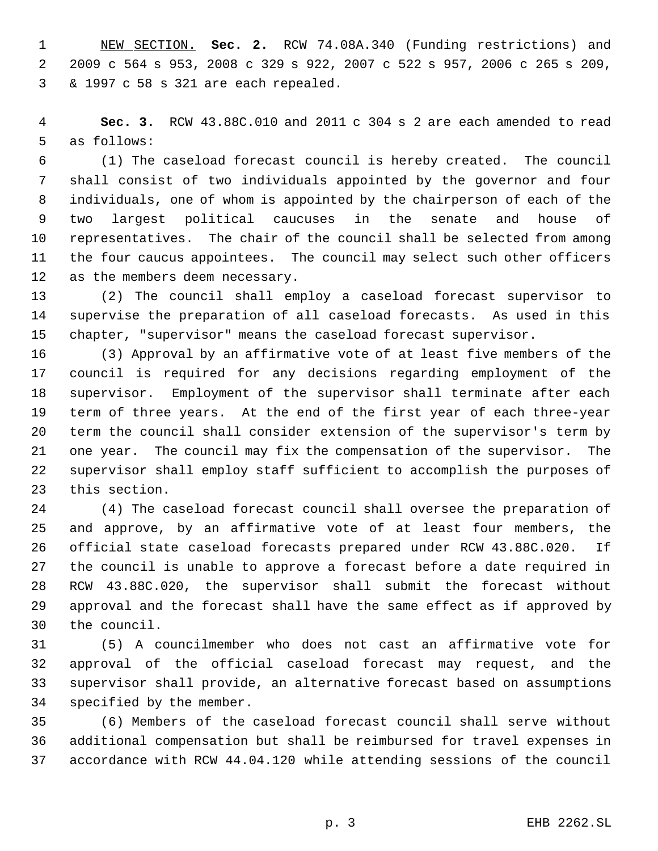NEW SECTION. **Sec. 2.** RCW 74.08A.340 (Funding restrictions) and 2009 c 564 s 953, 2008 c 329 s 922, 2007 c 522 s 957, 2006 c 265 s 209, & 1997 c 58 s 321 are each repealed.

 **Sec. 3.** RCW 43.88C.010 and 2011 c 304 s 2 are each amended to read as follows:

 (1) The caseload forecast council is hereby created. The council shall consist of two individuals appointed by the governor and four individuals, one of whom is appointed by the chairperson of each of the two largest political caucuses in the senate and house of representatives. The chair of the council shall be selected from among the four caucus appointees. The council may select such other officers as the members deem necessary.

 (2) The council shall employ a caseload forecast supervisor to supervise the preparation of all caseload forecasts. As used in this chapter, "supervisor" means the caseload forecast supervisor.

 (3) Approval by an affirmative vote of at least five members of the council is required for any decisions regarding employment of the supervisor. Employment of the supervisor shall terminate after each term of three years. At the end of the first year of each three-year term the council shall consider extension of the supervisor's term by one year. The council may fix the compensation of the supervisor. The supervisor shall employ staff sufficient to accomplish the purposes of this section.

 (4) The caseload forecast council shall oversee the preparation of and approve, by an affirmative vote of at least four members, the official state caseload forecasts prepared under RCW 43.88C.020. If the council is unable to approve a forecast before a date required in RCW 43.88C.020, the supervisor shall submit the forecast without approval and the forecast shall have the same effect as if approved by the council.

 (5) A councilmember who does not cast an affirmative vote for approval of the official caseload forecast may request, and the supervisor shall provide, an alternative forecast based on assumptions specified by the member.

 (6) Members of the caseload forecast council shall serve without additional compensation but shall be reimbursed for travel expenses in accordance with RCW 44.04.120 while attending sessions of the council